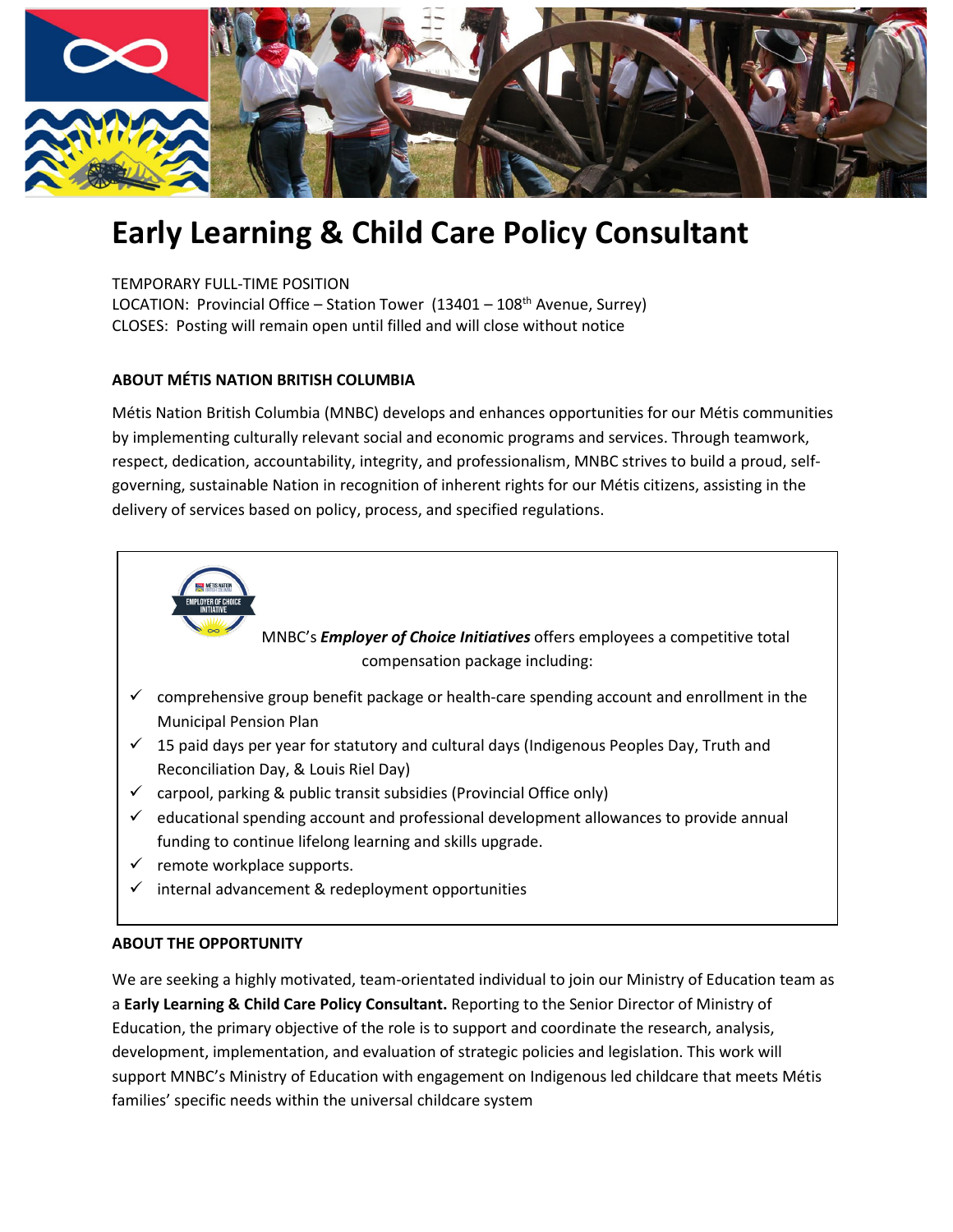

# **Early Learning & Child Care Policy Consultant**

TEMPORARY FULL-TIME POSITION

LOCATION: Provincial Office – Station Tower  $(13401 - 108<sup>th</sup>$  Avenue, Surrey) CLOSES: Posting will remain open until filled and will close without notice

## **ABOUT MÉTIS NATION BRITISH COLUMBIA**

Métis Nation British Columbia (MNBC) develops and enhances opportunities for our Métis communities by implementing culturally relevant social and economic programs and services. Through teamwork, respect, dedication, accountability, integrity, and professionalism, MNBC strives to build a proud, selfgoverning, sustainable Nation in recognition of inherent rights for our Métis citizens, assisting in the delivery of services based on policy, process, and specified regulations.



MNBC's *Employer of Choice Initiatives* offers employees a competitive total compensation package including:

- $\checkmark$  comprehensive group benefit package or health-care spending account and enrollment in the Municipal Pension Plan
- $\checkmark$  15 paid days per year for statutory and cultural days (Indigenous Peoples Day, Truth and Reconciliation Day, & Louis Riel Day)
- $\checkmark$  carpool, parking & public transit subsidies (Provincial Office only)
- $\checkmark$  educational spending account and professional development allowances to provide annual funding to continue lifelong learning and skills upgrade.
- $\checkmark$  remote workplace supports.
- internal advancement & redeployment opportunities

### **ABOUT THE OPPORTUNITY**

We are seeking a highly motivated, team-orientated individual to join our Ministry of Education team as a **Early Learning & Child Care Policy Consultant.** Reporting to the Senior Director of Ministry of Education, the primary objective of the role is to support and coordinate the research, analysis, development, implementation, and evaluation of strategic policies and legislation. This work will support MNBC's Ministry of Education with engagement on Indigenous led childcare that meets Métis families' specific needs within the universal childcare system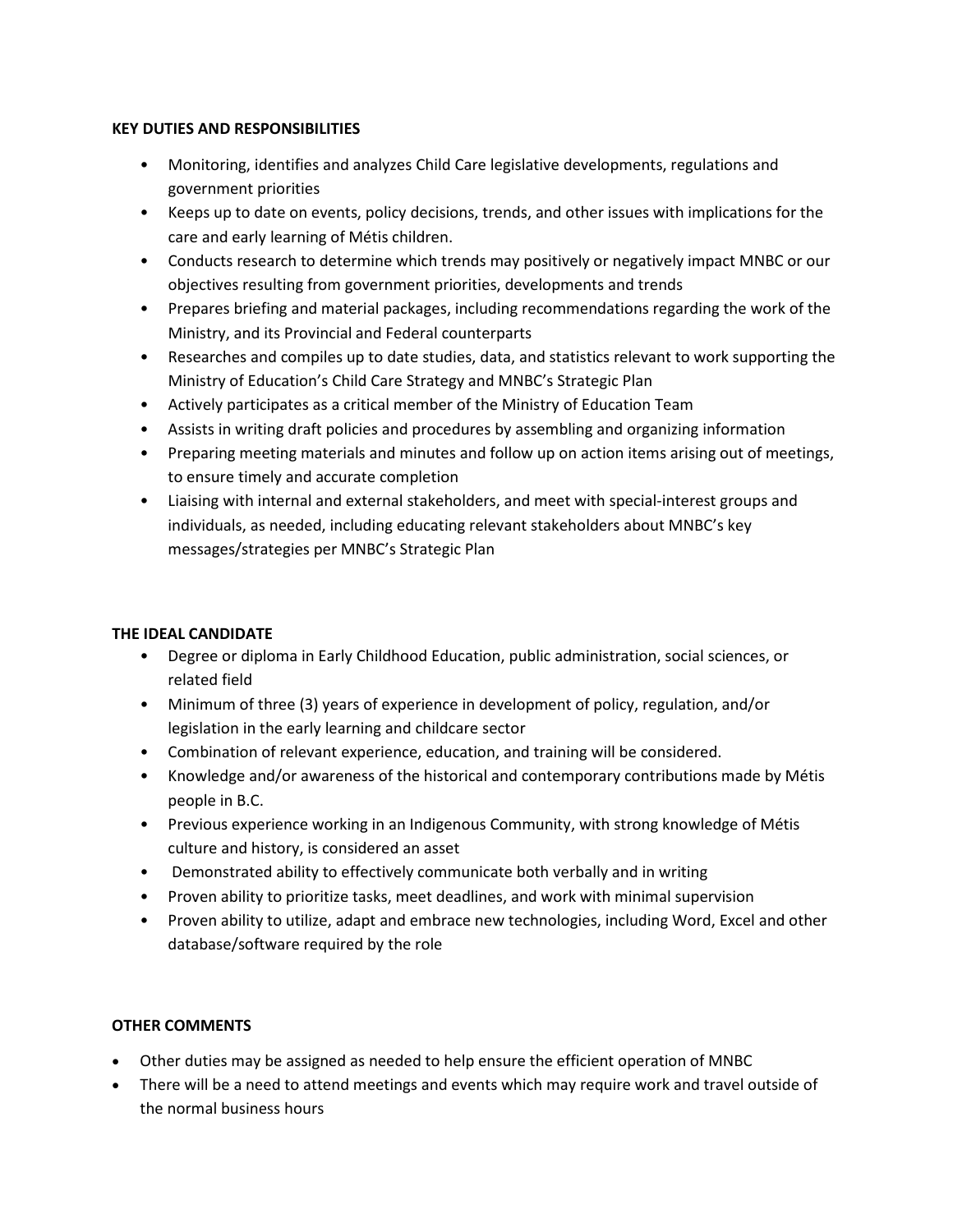### **KEY DUTIES AND RESPONSIBILITIES**

- Monitoring, identifies and analyzes Child Care legislative developments, regulations and government priorities
- Keeps up to date on events, policy decisions, trends, and other issues with implications for the care and early learning of Métis children.
- Conducts research to determine which trends may positively or negatively impact MNBC or our objectives resulting from government priorities, developments and trends
- Prepares briefing and material packages, including recommendations regarding the work of the Ministry, and its Provincial and Federal counterparts
- Researches and compiles up to date studies, data, and statistics relevant to work supporting the Ministry of Education's Child Care Strategy and MNBC's Strategic Plan
- Actively participates as a critical member of the Ministry of Education Team
- Assists in writing draft policies and procedures by assembling and organizing information
- Preparing meeting materials and minutes and follow up on action items arising out of meetings, to ensure timely and accurate completion
- Liaising with internal and external stakeholders, and meet with special-interest groups and individuals, as needed, including educating relevant stakeholders about MNBC's key messages/strategies per MNBC's Strategic Plan

### **THE IDEAL CANDIDATE**

- Degree or diploma in Early Childhood Education, public administration, social sciences, or related field
- Minimum of three (3) years of experience in development of policy, regulation, and/or legislation in the early learning and childcare sector
- Combination of relevant experience, education, and training will be considered.
- Knowledge and/or awareness of the historical and contemporary contributions made by Métis people in B.C.
- Previous experience working in an Indigenous Community, with strong knowledge of Métis culture and history, is considered an asset
- Demonstrated ability to effectively communicate both verbally and in writing
- Proven ability to prioritize tasks, meet deadlines, and work with minimal supervision
- Proven ability to utilize, adapt and embrace new technologies, including Word, Excel and other database/software required by the role

### **OTHER COMMENTS**

- Other duties may be assigned as needed to help ensure the efficient operation of MNBC
- There will be a need to attend meetings and events which may require work and travel outside of the normal business hours